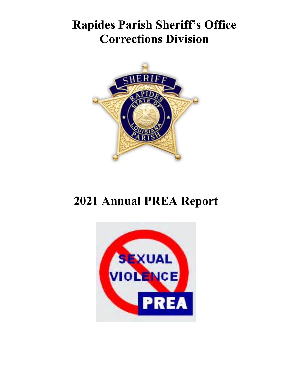# **Rapides Parish Sheriff's Office Corrections Division**



# **2021 Annual PREA Report**

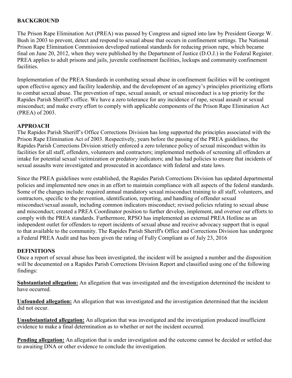#### **BACKGROUND**

The Prison Rape Elimination Act (PREA) was passed by Congress and signed into law by President George W. Bush in 2003 to prevent, detect and respond to sexual abuse that occurs in confinement settings. The National Prison Rape Elimination Commission developed national standards for reducing prison rape, which became final on June 20, 2012, when they were published by the Department of Justice (D.O.J.) in the Federal Register. PREA applies to adult prisons and jails, juvenile confinement facilities, lockups and community confinement facilities.

Implementation of the PREA Standards in combating sexual abuse in confinement facilities will be contingent upon effective agency and facility leadership, and the development of an agency's principles prioritizing efforts to combat sexual abuse. The prevention of rape, sexual assault, or sexual misconduct is a top priority for the Rapides Parish Sheriff's office. We have a zero tolerance for any incidence of rape, sexual assault or sexual misconduct; and make every effort to comply with applicable components of the Prison Rape Elimination Act (PREA) of 2003.

#### **APPROACH**

The Rapides Parish Sheriff's Office Corrections Division has long supported the principles associated with the Prison Rape Elimination Act of 2003. Respectively, years before the passing of the PREA guidelines, the Rapides Parish Corrections Division strictly enforced a zero tolerance policy of sexual misconduct within its facilities for all staff, offenders, volunteers and contractors; implemented methods of screening all offenders at intake for potential sexual victimization or predatory indicators; and has had policies to ensure that incidents of sexual assaults were investigated and prosecuted in accordance with federal and state laws.

Since the PREA guidelines were established, the Rapides Parish Corrections Division has updated departmental policies and implemented new ones in an effort to maintain compliance with all aspects of the federal standards. Some of the changes include: required annual mandatory sexual misconduct training to all staff, volunteers, and contractors, specific to the prevention, identification, reporting, and handling of offender sexual misconduct/sexual assault, including common indicators misconduct; revised policies relating to sexual abuse and misconduct; created a PREA Coordinator position to further develop, implement, and oversee our efforts to comply with the PREA standards. Furthermore, RPSO has implemented an external PREA Hotline as an independent outlet for offenders to report incidents of sexual abuse and receive advocacy support that is equal to that available to the community. The Rapides Parish Sheriff's Office and Corrections Division has undergone a Federal PREA Audit and has been given the rating of Fully Compliant as of July 23, 2016

#### **DEFINITIONS**

Once a report of sexual abuse has been investigated, the incident will be assigned a number and the disposition will be documented on a Rapides Parish Corrections Division Report and classified using one of the following findings:

**Substantiated allegation:** An allegation that was investigated and the investigation determined the incident to have occurred.

**Unfounded allegation:** An allegation that was investigated and the investigation determined that the incident did not occur.

**Unsubstantiated allegation:** An allegation that was investigated and the investigation produced insufficient evidence to make a final determination as to whether or not the incident occurred.

**Pending allegation:** An allegation that is under investigation and the outcome cannot be decided or settled due to awaiting DNA or other evidence to conclude the investigation.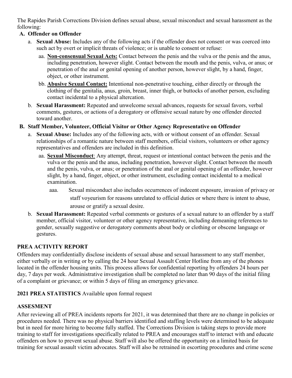The Rapides Parish Corrections Division defines sexual abuse, sexual misconduct and sexual harassment as the following:

## **A. Offender on Offender**

- a. **Sexual Abuse:** Includes any of the following acts if the offender does not consent or was coerced into such act by overt or implicit threats of violence; or is unable to consent or refuse:
	- aa. **Non-consensual Sexual Acts:** Contact between the penis and the vulva or the penis and the anus, including penetration, however slight. Contact between the mouth and the penis, vulva, or anus; or penetration of the anal or genital opening of another person, however slight, by a hand, finger, object, or other instrument.
	- bb. **Abusive Sexual Contact:** Intentional non-penetrative touching, either directly or through the clothing of the genitalia, anus, groin, breast, inner thigh, or buttocks of another person, excluding contact incidental to a physical altercation.
- b. **Sexual Harassment:** Repeated and unwelcome sexual advances, requests for sexual favors, verbal comments, gestures, or actions of a derogatory or offensive sexual nature by one offender directed toward another.
- **B. Staff Member, Volunteer, Official Visitor or Other Agency Representative on Offender** 
	- a. **Sexual Abuse:** Includes any of the following acts, with or without consent of an offender. Sexual relationships of a romantic nature between staff members, official visitors, volunteers or other agency representatives and offenders are included in this definition.
		- aa. **Sexual Misconduct**: Any attempt, threat, request or intentional contact between the penis and the vulva or the penis and the anus, including penetration, however slight. Contact between the mouth and the penis, vulva, or anus; or penetration of the anal or genital opening of an offender, however slight, by a hand, finger, object, or other instrument, excluding contact incidental to a medical examination.
			- aaa. Sexual misconduct also includes occurrences of indecent exposure, invasion of privacy or staff voyeurism for reasons unrelated to official duties or where there is intent to abuse, arouse or gratify a sexual desire.
	- b. **Sexual Harassment:** Repeated verbal comments or gestures of a sexual nature to an offender by a staff member, official visitor, volunteer or other agency representative, including demeaning references to gender, sexually suggestive or derogatory comments about body or clothing or obscene language or gestures.

## **PREA ACTIVITY REPORT**

Offenders may confidentially disclose incidents of sexual abuse and sexual harassment to any staff member, either verbally or in writing or by calling the 24 hour Sexual Assault Center Hotline from any of the phones located in the offender housing units. This process allows for confidential reporting by offenders 24 hours per day, 7 days per week. Administrative investigation shall be completed no later than 90 days of the initial filing of a complaint or grievance; or within 5 days of filing an emergency grievance.

### **2021 PREA STATISTICS** Available upon formal request

### **ASSESMENT**

After reviewing all of PREA incidents reports for 2021, it was determined that there are no change in policies or procedures needed. There was no physical barriers identified and staffing levels were determined to be adequate but in need for more hiring to become fully staffed. The Corrections Division is taking steps to provide more training to staff for investigations specifically related to PREA and encourages staff to interact with and educate offenders on how to prevent sexual abuse. Staff will also be offered the opportunity on a limited basis for training for sexual assault victim advocates. Staff will also be retrained in escorting procedures and crime scene